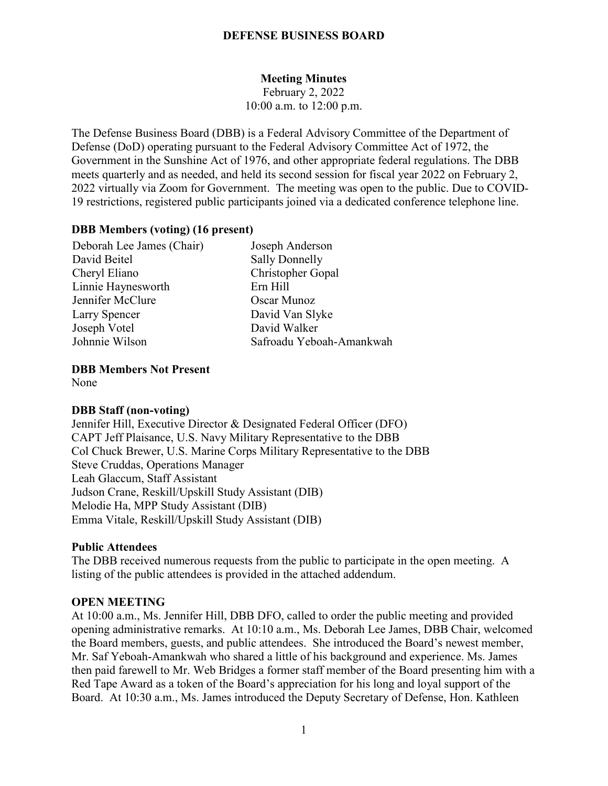### **DEFENSE BUSINESS BOARD**

# **Meeting Minutes**

February 2, 2022 10:00 a.m. to 12:00 p.m.

The Defense Business Board (DBB) is a Federal Advisory Committee of the Department of Defense (DoD) operating pursuant to the Federal Advisory Committee Act of 1972, the Government in the Sunshine Act of 1976, and other appropriate federal regulations. The DBB meets quarterly and as needed, and held its second session for fiscal year 2022 on February 2, 2022 virtually via Zoom for Government. The meeting was open to the public. Due to COVID-19 restrictions, registered public participants joined via a dedicated conference telephone line.

#### **DBB Members (voting) (16 present)**

| Deborah Lee James (Chair) | Joseph Anderson          |
|---------------------------|--------------------------|
| David Beitel              | <b>Sally Donnelly</b>    |
| Cheryl Eliano             | Christopher Gopal        |
| Linnie Haynesworth        | Ern Hill                 |
| Jennifer McClure          | Oscar Munoz              |
| Larry Spencer             | David Van Slyke          |
| Joseph Votel              | David Walker             |
| Johnnie Wilson            | Safroadu Yeboah-Amankwah |

**DBB Members Not Present**

None

#### **DBB Staff (non-voting)**

Jennifer Hill, Executive Director & Designated Federal Officer (DFO) CAPT Jeff Plaisance, U.S. Navy Military Representative to the DBB Col Chuck Brewer, U.S. Marine Corps Military Representative to the DBB Steve Cruddas, Operations Manager Leah Glaccum, Staff Assistant Judson Crane, Reskill/Upskill Study Assistant (DIB) Melodie Ha, MPP Study Assistant (DIB) Emma Vitale, Reskill/Upskill Study Assistant (DIB)

#### **Public Attendees**

The DBB received numerous requests from the public to participate in the open meeting. A listing of the public attendees is provided in the attached addendum.

#### **OPEN MEETING**

At 10:00 a.m., Ms. Jennifer Hill, DBB DFO, called to order the public meeting and provided opening administrative remarks. At 10:10 a.m., Ms. Deborah Lee James, DBB Chair, welcomed the Board members, guests, and public attendees. She introduced the Board's newest member, Mr. Saf Yeboah-Amankwah who shared a little of his background and experience. Ms. James then paid farewell to Mr. Web Bridges a former staff member of the Board presenting him with a Red Tape Award as a token of the Board's appreciation for his long and loyal support of the Board. At 10:30 a.m., Ms. James introduced the Deputy Secretary of Defense, Hon. Kathleen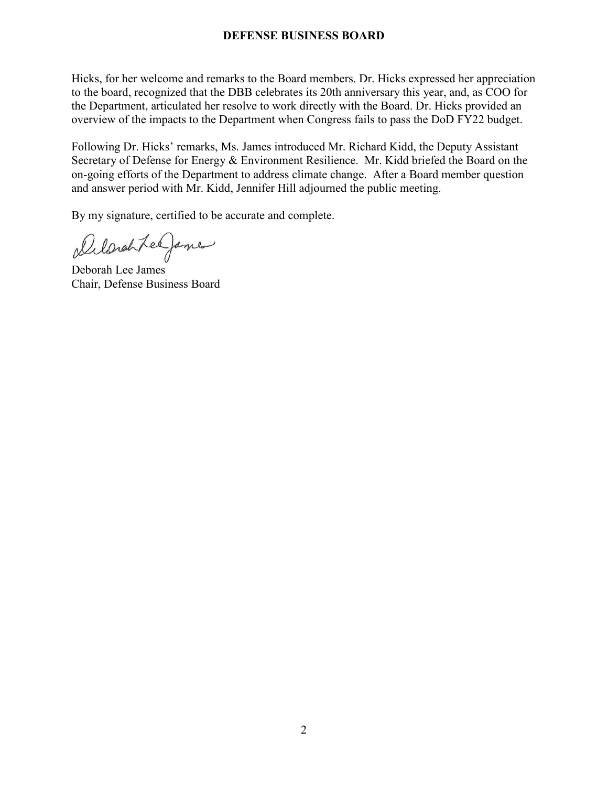## **DEFENSE BUSINESS BOARD**

Hicks, for her welcome and remarks to the Board members. Dr. Hicks expressed her appreciation to the board, recognized that the DBB celebrates its 20th anniversary this year, and, as COO for the Department, articulated her resolve to work directly with the Board. Dr. Hicks provided an overview of the impacts to the Department when Congress fails to pass the DoD FY22 budget.

Following Dr. Hicks' remarks, Ms. James introduced Mr. Richard Kidd, the Deputy Assistant Secretary of Defense for Energy & Environment Resilience. Mr. Kidd briefed the Board on the on-going efforts of the Department to address climate change. After a Board member question and answer period with Mr. Kidd, Jennifer Hill adjourned the public meeting.

By my signature, certified to be accurate and complete.

Delarchtee James

Deborah Lee James Chair, Defense Business Board